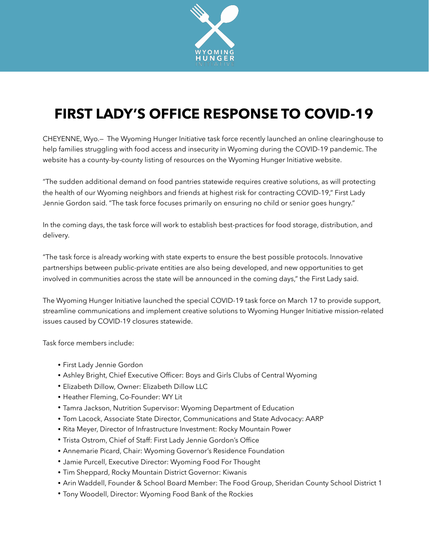

## **FIRST LADY'S OFFICE RESPONSE TO COVID-19**

CHEYENNE, Wyo.— The Wyoming Hunger Initiative task force recently launched an online clearinghouse to help families struggling with food access and insecurity in Wyoming during the COVID-19 pandemic. The website has a county-by-county listing of resources on the Wyoming Hunger Initiative website.

"The sudden additional demand on food pantries statewide requires creative solutions, as will protecting the health of our Wyoming neighbors and friends at highest risk for contracting COVID-19," First Lady Jennie Gordon said. "The task force focuses primarily on ensuring no child or senior goes hungry."

In the coming days, the task force will work to establish best-practices for food storage, distribution, and delivery.

"The task force is already working with state experts to ensure the best possible protocols. Innovative partnerships between public-private entities are also being developed, and new opportunities to get involved in communities across the state will be announced in the coming days," the First Lady said.

The Wyoming Hunger Initiative launched the special COVID-19 task force on March 17 to provide support, streamline communications and implement creative solutions to Wyoming Hunger Initiative mission-related issues caused by COVID-19 closures statewide.

Task force members include:

- First Lady Jennie Gordon
- Ashley Bright, Chief Executive Officer: Boys and Girls Clubs of Central Wyoming
- Elizabeth Dillow, Owner: Elizabeth Dillow LLC
- Heather Fleming, Co-Founder: WY Lit
- Tamra Jackson, Nutrition Supervisor: Wyoming Department of Education
- Tom Lacock, Associate State Director, Communications and State Advocacy: AARP
- Rita Meyer, Director of Infrastructure Investment: Rocky Mountain Power
- Trista Ostrom, Chief of Staff: First Lady Jennie Gordon's Office
- Annemarie Picard, Chair: Wyoming Governor's Residence Foundation
- Jamie Purcell, Executive Director: Wyoming Food For Thought
- Tim Sheppard, Rocky Mountain District Governor: Kiwanis
- Arin Waddell, Founder & School Board Member: The Food Group, Sheridan County School District 1
- Tony Woodell, Director: Wyoming Food Bank of the Rockies